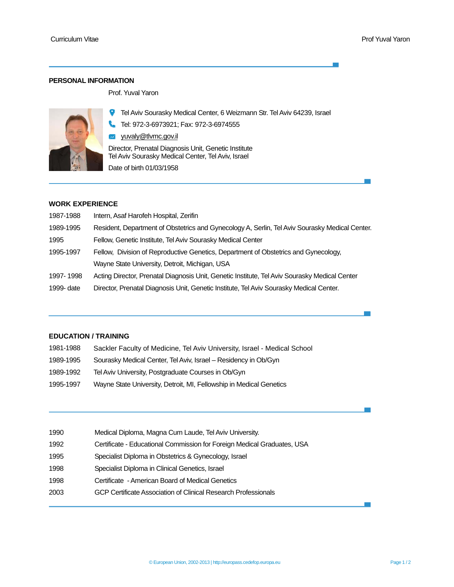### **PERSONAL INFORMATION**

Prof. Yuval Yaron



Tel Aviv Sourasky Medical Center, 6 Weizmann Str. Tel Aviv 64239, Israel

Tel: 972-3-6973921; Fax: 972-3-6974555

w yuvaly@tlvmc.gov.il Director, Prenatal Diagnosis Unit, Genetic Institute Tel Aviv Sourasky Medical Center, Tel Aviv, Israel

Date of birth 01/03/1958

## **WORK EXPERIENCE**

| 1987-1988  | Intern, Asaf Harofeh Hospital, Zerifin                                                         |
|------------|------------------------------------------------------------------------------------------------|
| 1989-1995  | Resident, Department of Obstetrics and Gynecology A, Serlin, Tel Aviv Sourasky Medical Center. |
| 1995       | Fellow, Genetic Institute, Tel Aviv Sourasky Medical Center                                    |
| 1995-1997  | Fellow, Division of Reproductive Genetics, Department of Obstetrics and Gynecology,            |
|            | Wayne State University, Detroit, Michigan, USA                                                 |
| 1997-1998  | Acting Director, Prenatal Diagnosis Unit, Genetic Institute, Tel Aviv Sourasky Medical Center  |
| 1999- date | Director, Prenatal Diagnosis Unit, Genetic Institute, Tel Aviv Sourasky Medical Center.        |

## **EDUCATION / TRAINING**

| 1981-1988 | Sackler Faculty of Medicine, Tel Aviv University, Israel - Medical School |
|-----------|---------------------------------------------------------------------------|
| 1989-1995 | Sourasky Medical Center, Tel Aviv, Israel – Residency in Ob/Gyn           |
| 1989-1992 | Tel Aviv University, Postgraduate Courses in Ob/Gyn                       |
| 1995-1997 | Wayne State University, Detroit, MI, Fellowship in Medical Genetics       |

| 1990 | Medical Diploma, Magna Cum Laude, Tel Aviv University.                  |
|------|-------------------------------------------------------------------------|
| 1992 | Certificate - Educational Commission for Foreign Medical Graduates, USA |
| 1995 | Specialist Diploma in Obstetrics & Gynecology, Israel                   |
| 1998 | Specialist Diploma in Clinical Genetics, Israel                         |
| 1998 | Certificate - American Board of Medical Genetics                        |
| 2003 | GCP Certificate Association of Clinical Research Professionals          |
|      |                                                                         |

 $\sim$